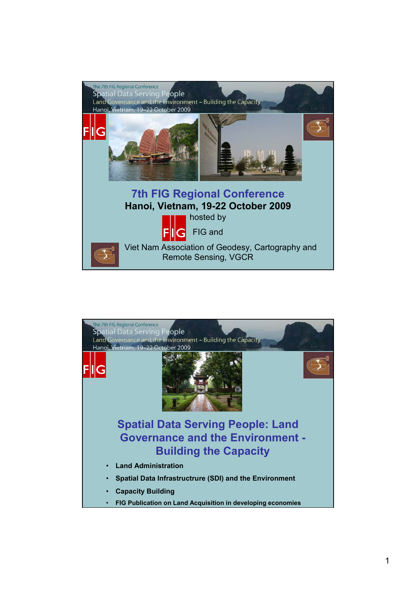

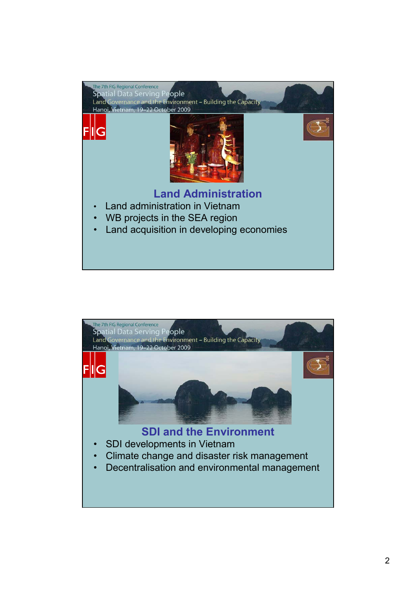

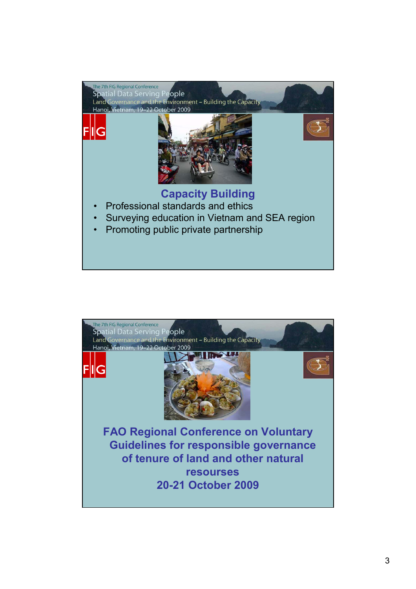

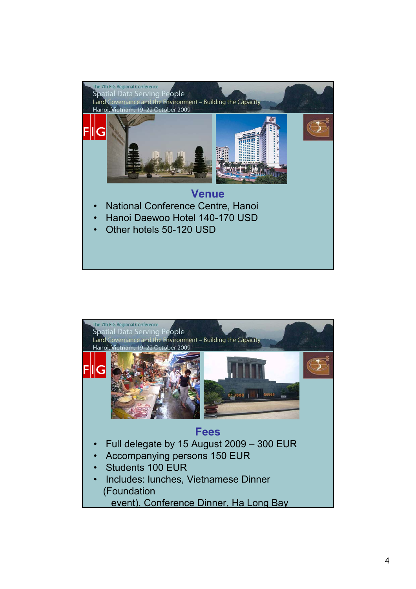